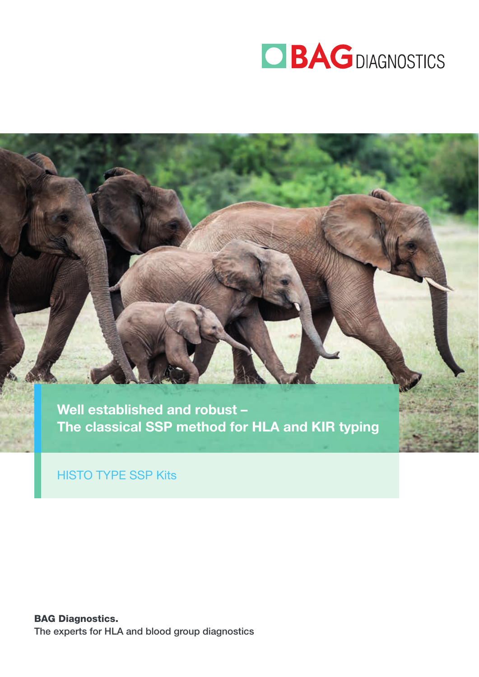

Well established and robust – The classical SSP method for HLA and KIR typing

HISTO TYPE SSP Kits

BAG Diagnostics. The experts for HLA and blood group diagnostics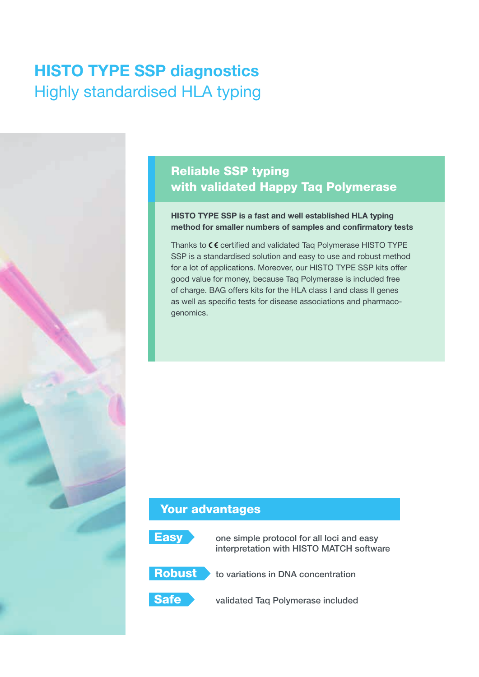# HISTO TYPE SSP diagnostics Highly standardised HLA typing

## Reliable SSP typing with validated Happy Taq Polymerase

#### HISTO TYPE SSP is a fast and well established HLA typing method for smaller numbers of samples and confirmatory tests

Thanks to  $C \epsilon$  certified and validated Taq Polymerase HISTO TYPE SSP is a standardised solution and easy to use and robust method for a lot of applications. Moreover, our HISTO TYPE SSP kits offer good value for money, because Taq Polymerase is included free of charge. BAG offers kits for the HLA class I and class II genes as well as specific tests for disease associations and pharmacogenomics.

### Your advantages



**Easy** one simple protocol for all loci and easy interpretation with HISTO MATCH software



**Robust** to variations in DNA concentration



Safe validated Taq Polymerase included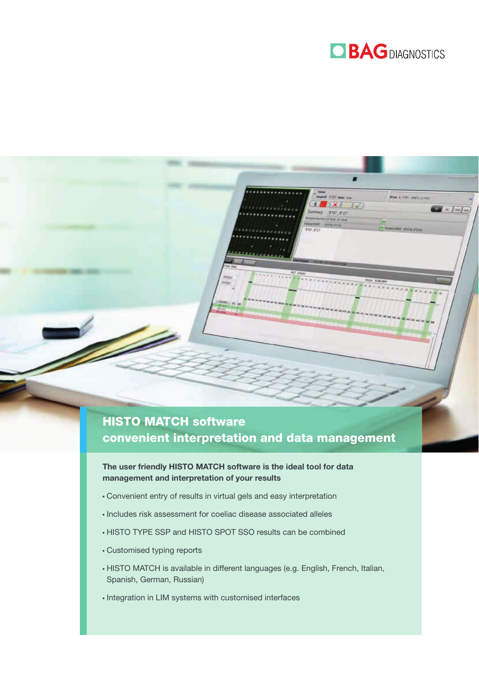

'07, 8:21

## HISTO MATCH software convenient interpretation and data management

The user friendly HISTO MATCH software is the ideal tool for data management and interpretation of your results

- Convenient entry of results in virtual gels and easy interpretation
- $\cdot$  Includes risk assessment for coeliac disease associated alleles
- HISTO TYPE SSP and HISTO SPOT SSO results can be combined
- Customised typing reports
- HISTO MATCH is available in different languages (e.g. English, French, Italian, Spanish, German, Russian)
- $\cdot$  Integration in LIM systems with customised interfaces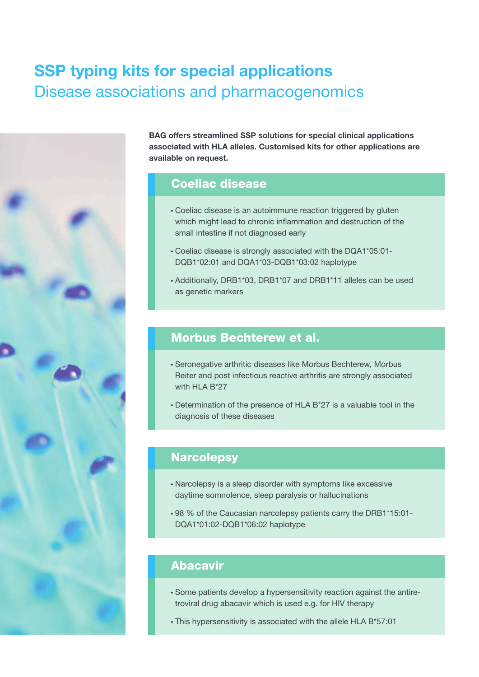# SSP typing kits for special applications Disease associations and pharmacogenomics



BAG offers streamlined SSP solutions for special clinical applications associated with HLA alleles. Customised kits for other applications are available on request.

#### Coeliac disease

- Coeliac disease is an autoimmune reaction triggered by gluten which might lead to chronic inflammation and destruction of the small intestine if not diagnosed early
- Coeliac disease is strongly associated with the DQA1\*05:01- DQB1\*02:01 and DQA1\*03-DQB1\*03:02 haplotype
- Additionally, DRB1\*03, DRB1\*07 and DRB1\*11 alleles can be used as genetic markers

#### Morbus Bechterew et al.

- Seronegative arthritic diseases like Morbus Bechterew, Morbus Reiter and post infectious reactive arthritis are strongly associated with HLA B\*27
- Determination of the presence of HLA B\*27 is a valuable tool in the diagnosis of these diseases

### **Narcolepsy**

- Narcolepsy is a sleep disorder with symptoms like excessive daytime somnolence, sleep paralysis or hallucinations
- 98 % of the Caucasian narcolepsy patients carry the DRB1\*15:01- DQA1\*01:02-DQB1\*06:02 haplotype

### Abacavir

- Some patients develop a hypersensitivity reaction against the antiretroviral drug abacavir which is used e.g. for HIV therapy
- This hypersensitivity is associated with the allele HLA B\*57:01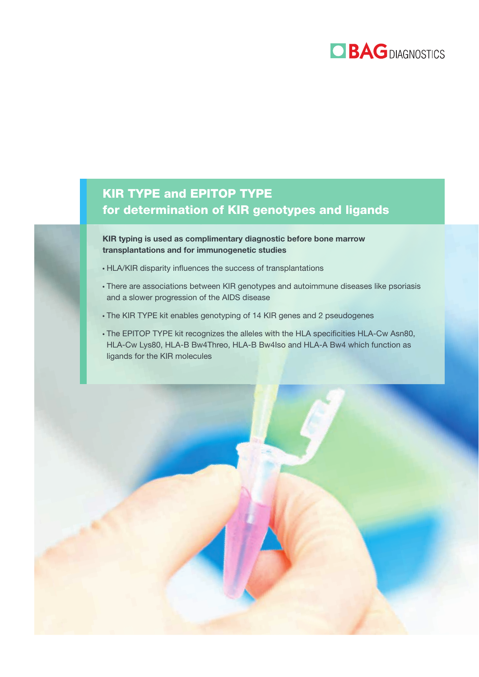

## KIR TYPE and EPITOP TYPE for determination of KIR genotypes and ligands

KIR typing is used as complimentary diagnostic before bone marrow transplantations and for immunogenetic studies

- HLA/KIR disparity influences the success of transplantations
- There are associations between KIR genotypes and autoimmune diseases like psoriasis and a slower progression of the AIDS disease
- The KIR TYPE kit enables genotyping of 14 KIR genes and 2 pseudogenes
- The EPITOP TYPE kit recognizes the alleles with the HLA specificities HLA-Cw Asn80, HLA-Cw Lys80, HLA-B Bw4Threo, HLA-B Bw4Iso and HLA-A Bw4 which function as ligands for the KIR molecules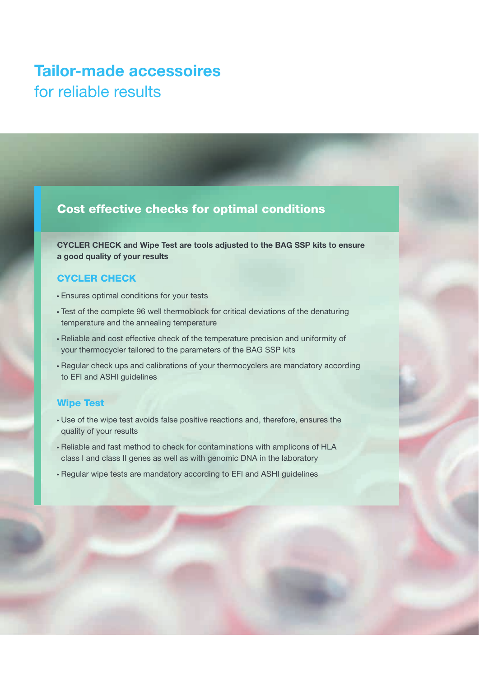# Tailor-made accessoires for reliable results

#### Cost effective checks for optimal conditions

CYCLER CHECK and Wipe Test are tools adjusted to the BAG SSP kits to ensure a good quality of your results

#### CYCLER CHECK

- Ensures optimal conditions for your tests
- Test of the complete 96 well thermoblock for critical deviations of the denaturing temperature and the annealing temperature
- Reliable and cost effective check of the temperature precision and uniformity of your thermocycler tailored to the parameters of the BAG SSP kits
- Regular check ups and calibrations of your thermocyclers are mandatory according to EFI and ASHI guidelines

#### Wipe Test

- Use of the wipe test avoids false positive reactions and, therefore, ensures the quality of your results
- Reliable and fast method to check for contaminations with amplicons of HLA class I and class II genes as well as with genomic DNA in the laboratory
- Regular wipe tests are mandatory according to EFI and ASHI guidelines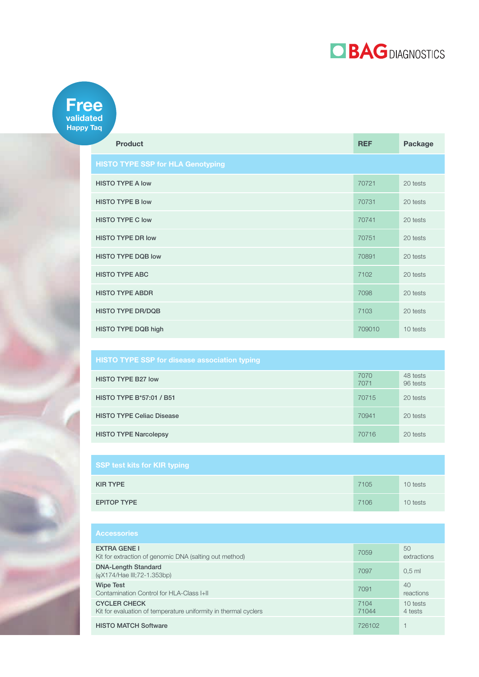

#### Free validated Happy Taq

| <b>Product</b>                           | <b>REF</b> | <b>Package</b> |
|------------------------------------------|------------|----------------|
| <b>HISTO TYPE SSP for HLA Genotyping</b> |            |                |
| <b>HISTO TYPE A low</b>                  | 70721      | 20 tests       |
| <b>HISTO TYPE B low</b>                  | 70731      | 20 tests       |
| <b>HISTO TYPE C low</b>                  | 70741      | 20 tests       |
| <b>HISTO TYPE DR low</b>                 | 70751      | 20 tests       |
| <b>HISTO TYPE DQB low</b>                | 70891      | 20 tests       |
| <b>HISTO TYPE ABC</b>                    | 7102       | 20 tests       |
| <b>HISTO TYPE ABDR</b>                   | 7098       | 20 tests       |
| <b>HISTO TYPE DR/DQB</b>                 | 7103       | 20 tests       |
| HISTO TYPE DQB high                      | 709010     | 10 tests       |

| <b>HISTO TYPE SSP for disease association typing</b> |              |                      |
|------------------------------------------------------|--------------|----------------------|
| <b>HISTO TYPE B27 low</b>                            | 7070<br>7071 | 48 tests<br>96 tests |
| HISTO TYPE B*57:01 / B51                             | 70715        | 20 tests             |
| <b>HISTO TYPE Celiac Disease</b>                     | 70941        | 20 tests             |
| <b>HISTO TYPE Narcolepsy</b>                         | 70716        | 20 tests             |

| <b>SSP test kits for KIR typing</b> |      |          |
|-------------------------------------|------|----------|
| <b>KIR TYPE</b>                     | 7105 | 10 tests |
| <b>EPITOP TYPE</b>                  | 7106 | 10 tests |

| <b>Accessories</b>                                                                     |               |                       |
|----------------------------------------------------------------------------------------|---------------|-----------------------|
| <b>EXTRA GENE I</b><br>Kit for extraction of genomic DNA (salting out method)          | 7059          | 50<br>extractions     |
| <b>DNA-Length Standard</b><br>( $\varphi$ X174/Hae III;72-1.353bp)                     | 7097          | $0.5$ ml              |
| <b>Wipe Test</b><br>Contamination Control for HLA-Class I+II                           | 7091          | 40<br>reactions       |
| <b>CYCLER CHECK</b><br>Kit for evaluation of temperature uniformity in thermal cyclers | 7104<br>71044 | $10$ tests<br>4 tests |
| <b>HISTO MATCH Software</b>                                                            | 726102        |                       |